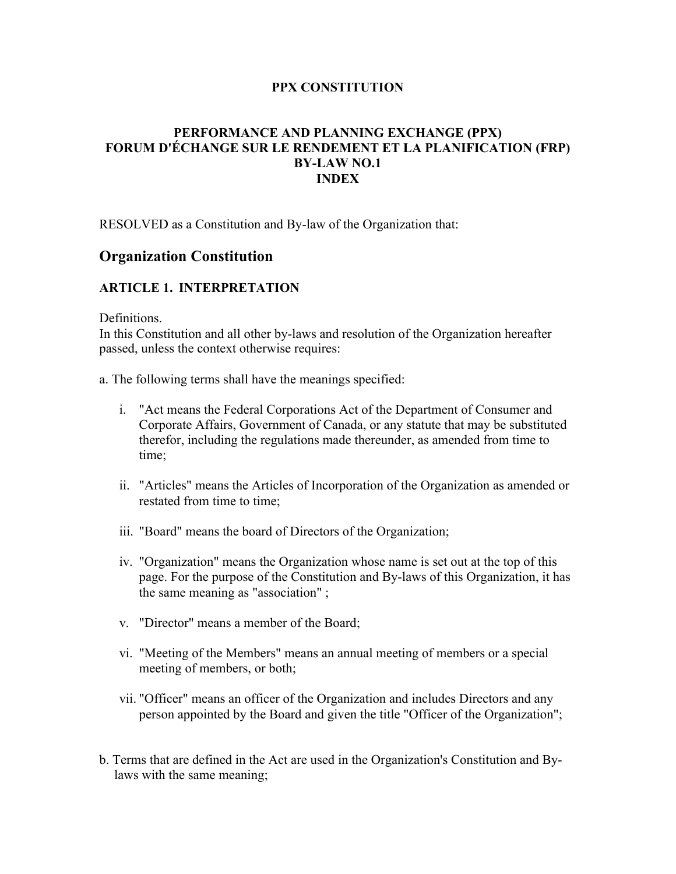### **PPX CONSTITUTION**

### **PERFORMANCE AND PLANNING EXCHANGE (PPX) FORUM D'ÉCHANGE SUR LE RENDEMENT ET LA PLANIFICATION (FRP) BY-LAW NO.1 INDEX**

RESOLVED as a Constitution and By-law of the Organization that:

# **Organization Constitution**

## **ARTICLE 1. INTERPRETATION**

**Definitions** 

In this Constitution and all other by-laws and resolution of the Organization hereafter passed, unless the context otherwise requires:

a. The following terms shall have the meanings specified:

- i. "Act means the Federal Corporations Act of the Department of Consumer and Corporate Affairs, Government of Canada, or any statute that may be substituted therefor, including the regulations made thereunder, as amended from time to time;
- ii. "Articles" means the Articles of Incorporation of the Organization as amended or restated from time to time;
- iii. "Board" means the board of Directors of the Organization;
- iv. "Organization" means the Organization whose name is set out at the top of this page. For the purpose of the Constitution and By-laws of this Organization, it has the same meaning as "association" ;
- v. "Director" means a member of the Board;
- vi. "Meeting of the Members" means an annual meeting of members or a special meeting of members, or both;
- vii. "Officer" means an officer of the Organization and includes Directors and any person appointed by the Board and given the title "Officer of the Organization";
- b. Terms that are defined in the Act are used in the Organization's Constitution and Bylaws with the same meaning;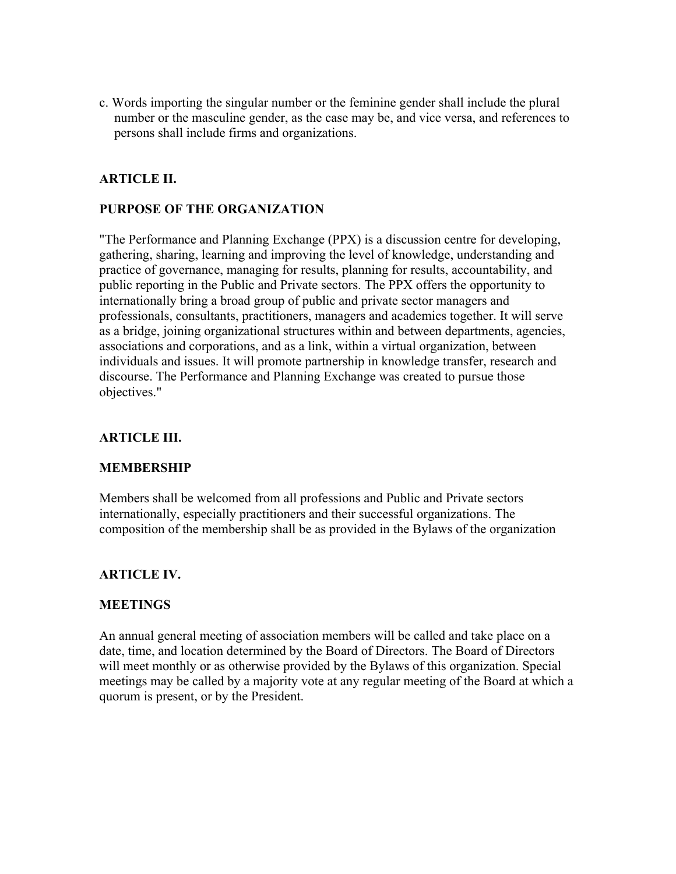c. Words importing the singular number or the feminine gender shall include the plural number or the masculine gender, as the case may be, and vice versa, and references to persons shall include firms and organizations.

# **ARTICLE II.**

### **PURPOSE OF THE ORGANIZATION**

"The Performance and Planning Exchange (PPX) is a discussion centre for developing, gathering, sharing, learning and improving the level of knowledge, understanding and practice of governance, managing for results, planning for results, accountability, and public reporting in the Public and Private sectors. The PPX offers the opportunity to internationally bring a broad group of public and private sector managers and professionals, consultants, practitioners, managers and academics together. It will serve as a bridge, joining organizational structures within and between departments, agencies, associations and corporations, and as a link, within a virtual organization, between individuals and issues. It will promote partnership in knowledge transfer, research and discourse. The Performance and Planning Exchange was created to pursue those objectives."

### **ARTICLE III.**

### **MEMBERSHIP**

Members shall be welcomed from all professions and Public and Private sectors internationally, especially practitioners and their successful organizations. The composition of the membership shall be as provided in the Bylaws of the organization

### **ARTICLE IV.**

### **MEETINGS**

An annual general meeting of association members will be called and take place on a date, time, and location determined by the Board of Directors. The Board of Directors will meet monthly or as otherwise provided by the Bylaws of this organization. Special meetings may be called by a majority vote at any regular meeting of the Board at which a quorum is present, or by the President.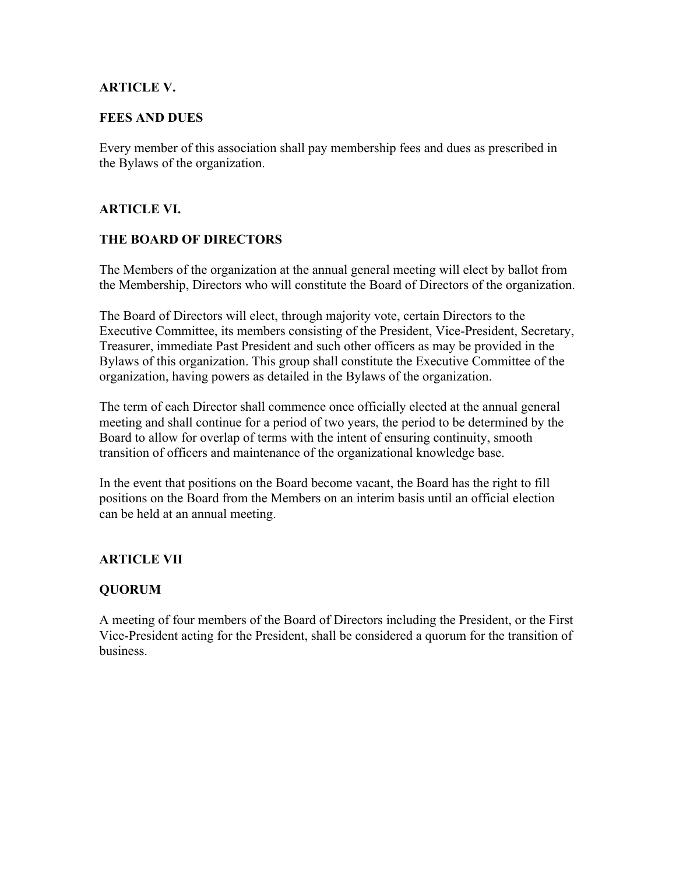### **ARTICLE V.**

### **FEES AND DUES**

Every member of this association shall pay membership fees and dues as prescribed in the Bylaws of the organization.

## **ARTICLE VI.**

### **THE BOARD OF DIRECTORS**

The Members of the organization at the annual general meeting will elect by ballot from the Membership, Directors who will constitute the Board of Directors of the organization.

The Board of Directors will elect, through majority vote, certain Directors to the Executive Committee, its members consisting of the President, Vice-President, Secretary, Treasurer, immediate Past President and such other officers as may be provided in the Bylaws of this organization. This group shall constitute the Executive Committee of the organization, having powers as detailed in the Bylaws of the organization.

The term of each Director shall commence once officially elected at the annual general meeting and shall continue for a period of two years, the period to be determined by the Board to allow for overlap of terms with the intent of ensuring continuity, smooth transition of officers and maintenance of the organizational knowledge base.

In the event that positions on the Board become vacant, the Board has the right to fill positions on the Board from the Members on an interim basis until an official election can be held at an annual meeting.

### **ARTICLE VII**

### **QUORUM**

A meeting of four members of the Board of Directors including the President, or the First Vice-President acting for the President, shall be considered a quorum for the transition of business.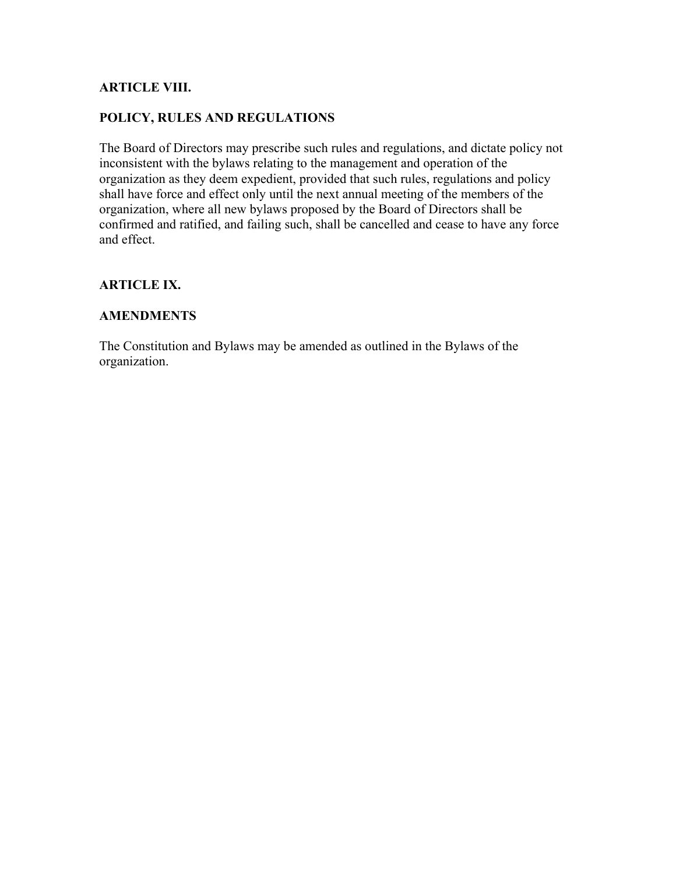## **ARTICLE VIII.**

### **POLICY, RULES AND REGULATIONS**

The Board of Directors may prescribe such rules and regulations, and dictate policy not inconsistent with the bylaws relating to the management and operation of the organization as they deem expedient, provided that such rules, regulations and policy shall have force and effect only until the next annual meeting of the members of the organization, where all new bylaws proposed by the Board of Directors shall be confirmed and ratified, and failing such, shall be cancelled and cease to have any force and effect.

### **ARTICLE IX.**

### **AMENDMENTS**

The Constitution and Bylaws may be amended as outlined in the Bylaws of the organization.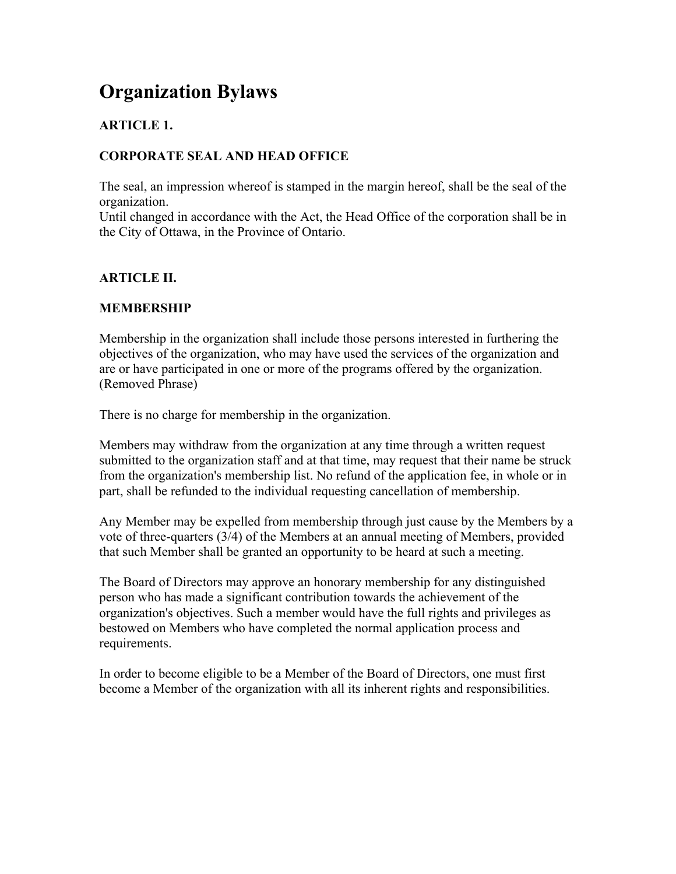# **Organization Bylaws**

# **ARTICLE 1.**

# **CORPORATE SEAL AND HEAD OFFICE**

The seal, an impression whereof is stamped in the margin hereof, shall be the seal of the organization.

Until changed in accordance with the Act, the Head Office of the corporation shall be in the City of Ottawa, in the Province of Ontario.

## **ARTICLE II.**

## **MEMBERSHIP**

Membership in the organization shall include those persons interested in furthering the objectives of the organization, who may have used the services of the organization and are or have participated in one or more of the programs offered by the organization. (Removed Phrase)

There is no charge for membership in the organization.

Members may withdraw from the organization at any time through a written request submitted to the organization staff and at that time, may request that their name be struck from the organization's membership list. No refund of the application fee, in whole or in part, shall be refunded to the individual requesting cancellation of membership.

Any Member may be expelled from membership through just cause by the Members by a vote of three-quarters (3/4) of the Members at an annual meeting of Members, provided that such Member shall be granted an opportunity to be heard at such a meeting.

The Board of Directors may approve an honorary membership for any distinguished person who has made a significant contribution towards the achievement of the organization's objectives. Such a member would have the full rights and privileges as bestowed on Members who have completed the normal application process and requirements.

In order to become eligible to be a Member of the Board of Directors, one must first become a Member of the organization with all its inherent rights and responsibilities.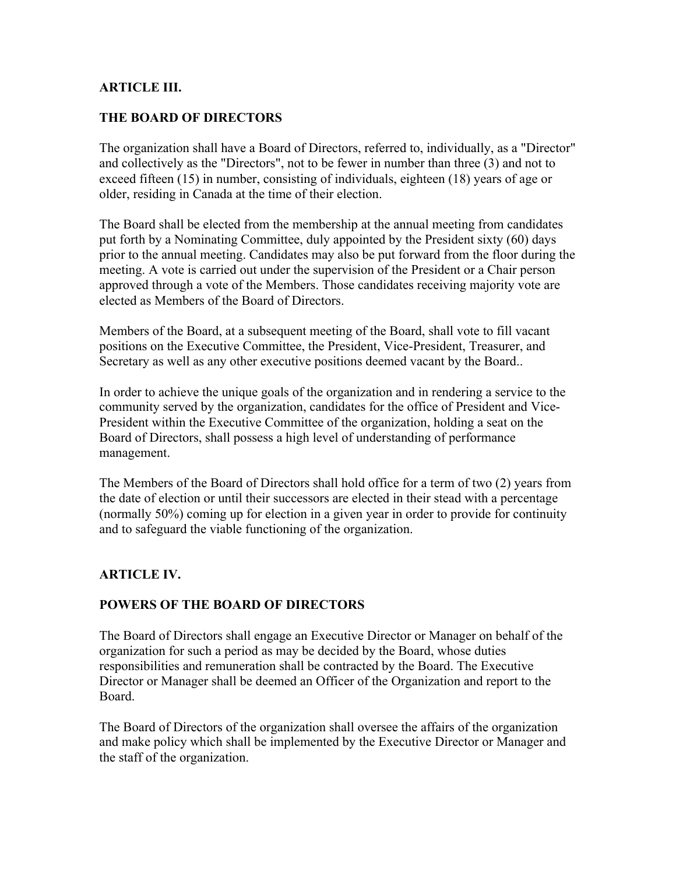### **ARTICLE III.**

### **THE BOARD OF DIRECTORS**

The organization shall have a Board of Directors, referred to, individually, as a "Director" and collectively as the "Directors", not to be fewer in number than three (3) and not to exceed fifteen (15) in number, consisting of individuals, eighteen (18) years of age or older, residing in Canada at the time of their election.

The Board shall be elected from the membership at the annual meeting from candidates put forth by a Nominating Committee, duly appointed by the President sixty (60) days prior to the annual meeting. Candidates may also be put forward from the floor during the meeting. A vote is carried out under the supervision of the President or a Chair person approved through a vote of the Members. Those candidates receiving majority vote are elected as Members of the Board of Directors.

Members of the Board, at a subsequent meeting of the Board, shall vote to fill vacant positions on the Executive Committee, the President, Vice-President, Treasurer, and Secretary as well as any other executive positions deemed vacant by the Board..

In order to achieve the unique goals of the organization and in rendering a service to the community served by the organization, candidates for the office of President and Vice-President within the Executive Committee of the organization, holding a seat on the Board of Directors, shall possess a high level of understanding of performance management.

The Members of the Board of Directors shall hold office for a term of two (2) years from the date of election or until their successors are elected in their stead with a percentage (normally 50%) coming up for election in a given year in order to provide for continuity and to safeguard the viable functioning of the organization.

### **ARTICLE IV.**

## **POWERS OF THE BOARD OF DIRECTORS**

The Board of Directors shall engage an Executive Director or Manager on behalf of the organization for such a period as may be decided by the Board, whose duties responsibilities and remuneration shall be contracted by the Board. The Executive Director or Manager shall be deemed an Officer of the Organization and report to the Board.

The Board of Directors of the organization shall oversee the affairs of the organization and make policy which shall be implemented by the Executive Director or Manager and the staff of the organization.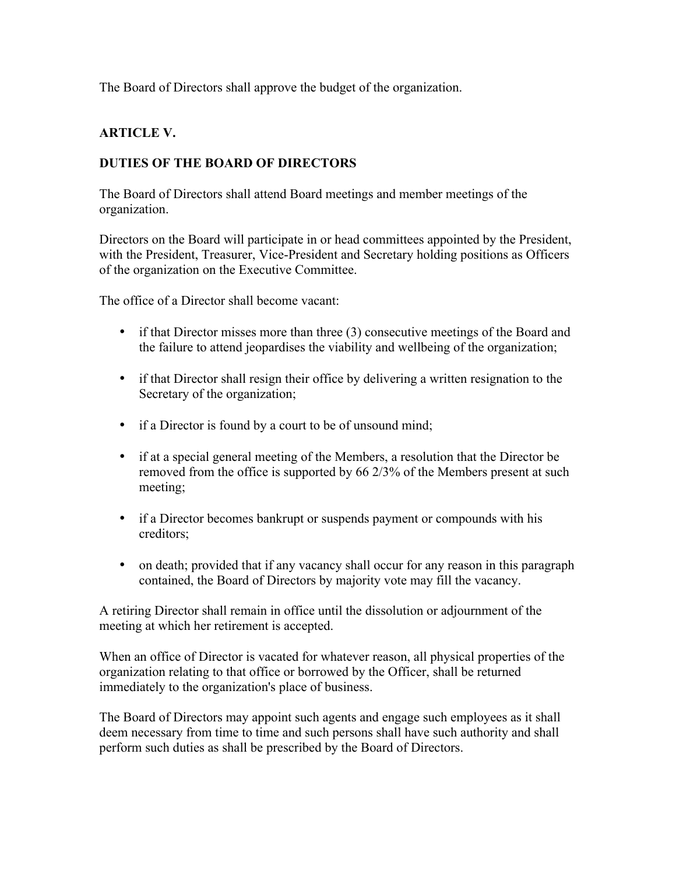The Board of Directors shall approve the budget of the organization.

# **ARTICLE V.**

# **DUTIES OF THE BOARD OF DIRECTORS**

The Board of Directors shall attend Board meetings and member meetings of the organization.

Directors on the Board will participate in or head committees appointed by the President, with the President, Treasurer, Vice-President and Secretary holding positions as Officers of the organization on the Executive Committee.

The office of a Director shall become vacant:

- if that Director misses more than three (3) consecutive meetings of the Board and the failure to attend jeopardises the viability and wellbeing of the organization;
- if that Director shall resign their office by delivering a written resignation to the Secretary of the organization;
- if a Director is found by a court to be of unsound mind;
- if at a special general meeting of the Members, a resolution that the Director be removed from the office is supported by 66 2/3% of the Members present at such meeting;
- if a Director becomes bankrupt or suspends payment or compounds with his creditors;
- on death; provided that if any vacancy shall occur for any reason in this paragraph contained, the Board of Directors by majority vote may fill the vacancy.

A retiring Director shall remain in office until the dissolution or adjournment of the meeting at which her retirement is accepted.

When an office of Director is vacated for whatever reason, all physical properties of the organization relating to that office or borrowed by the Officer, shall be returned immediately to the organization's place of business.

The Board of Directors may appoint such agents and engage such employees as it shall deem necessary from time to time and such persons shall have such authority and shall perform such duties as shall be prescribed by the Board of Directors.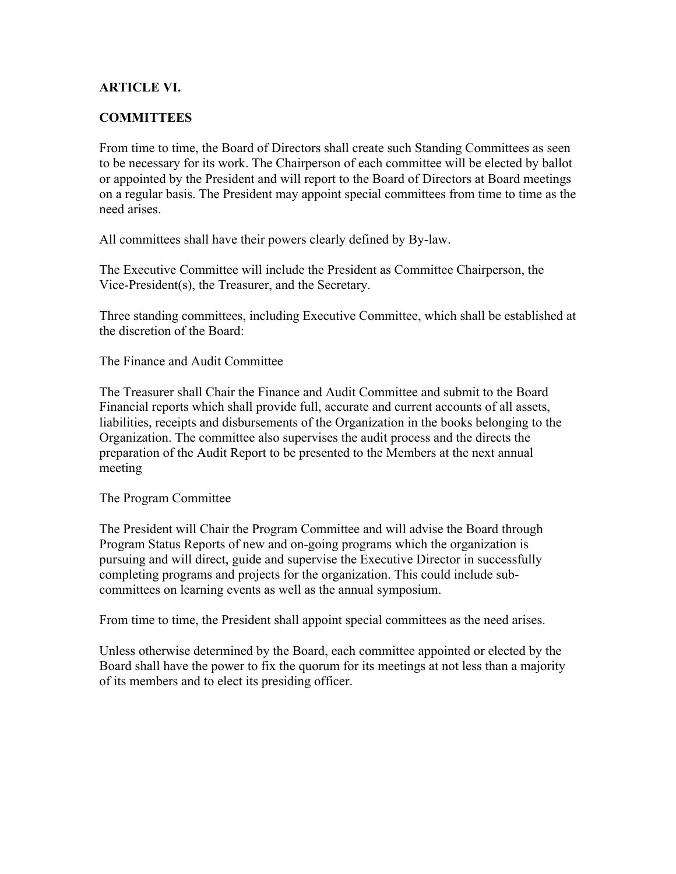## **ARTICLE VI.**

### **COMMITTEES**

From time to time, the Board of Directors shall create such Standing Committees as seen to be necessary for its work. The Chairperson of each committee will be elected by ballot or appointed by the President and will report to the Board of Directors at Board meetings on a regular basis. The President may appoint special committees from time to time as the need arises.

All committees shall have their powers clearly defined by By-law.

The Executive Committee will include the President as Committee Chairperson, the Vice-President(s), the Treasurer, and the Secretary.

Three standing committees, including Executive Committee, which shall be established at the discretion of the Board:

The Finance and Audit Committee

The Treasurer shall Chair the Finance and Audit Committee and submit to the Board Financial reports which shall provide full, accurate and current accounts of all assets, liabilities, receipts and disbursements of the Organization in the books belonging to the Organization. The committee also supervises the audit process and the directs the preparation of the Audit Report to be presented to the Members at the next annual meeting

The Program Committee

The President will Chair the Program Committee and will advise the Board through Program Status Reports of new and on-going programs which the organization is pursuing and will direct, guide and supervise the Executive Director in successfully completing programs and projects for the organization. This could include subcommittees on learning events as well as the annual symposium.

From time to time, the President shall appoint special committees as the need arises.

Unless otherwise determined by the Board, each committee appointed or elected by the Board shall have the power to fix the quorum for its meetings at not less than a majority of its members and to elect its presiding officer.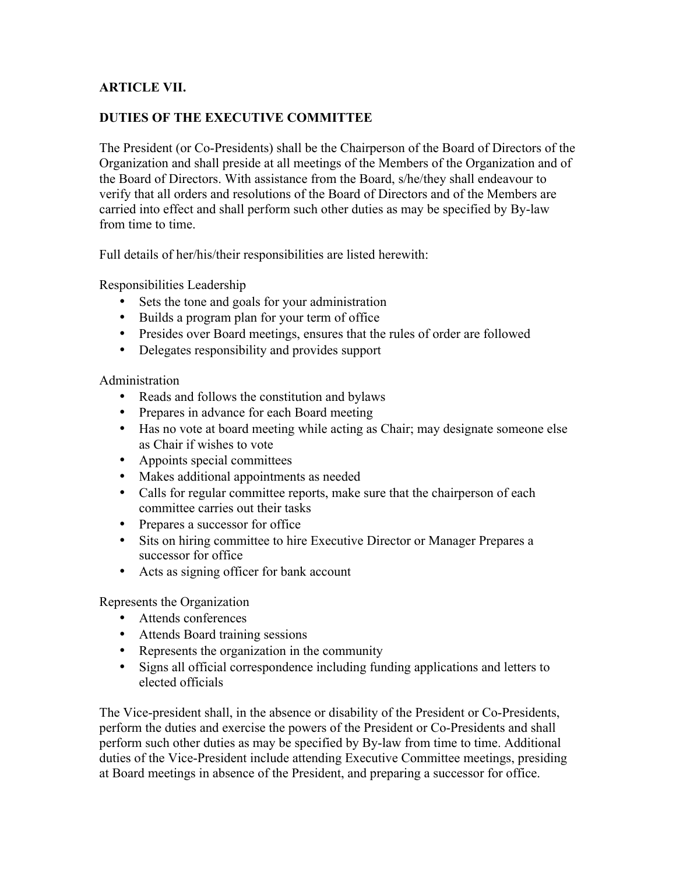# **ARTICLE VII.**

# **DUTIES OF THE EXECUTIVE COMMITTEE**

The President (or Co-Presidents) shall be the Chairperson of the Board of Directors of the Organization and shall preside at all meetings of the Members of the Organization and of the Board of Directors. With assistance from the Board, s/he/they shall endeavour to verify that all orders and resolutions of the Board of Directors and of the Members are carried into effect and shall perform such other duties as may be specified by By-law from time to time.

Full details of her/his/their responsibilities are listed herewith:

Responsibilities Leadership

- Sets the tone and goals for your administration
- Builds a program plan for your term of office
- Presides over Board meetings, ensures that the rules of order are followed
- Delegates responsibility and provides support

### Administration

- Reads and follows the constitution and bylaws
- Prepares in advance for each Board meeting
- Has no vote at board meeting while acting as Chair; may designate someone else as Chair if wishes to vote
- Appoints special committees
- Makes additional appointments as needed
- Calls for regular committee reports, make sure that the chairperson of each committee carries out their tasks
- Prepares a successor for office
- Sits on hiring committee to hire Executive Director or Manager Prepares a successor for office
- Acts as signing officer for bank account

Represents the Organization

- Attends conferences
- Attends Board training sessions
- Represents the organization in the community
- Signs all official correspondence including funding applications and letters to elected officials

The Vice-president shall, in the absence or disability of the President or Co-Presidents, perform the duties and exercise the powers of the President or Co-Presidents and shall perform such other duties as may be specified by By-law from time to time. Additional duties of the Vice-President include attending Executive Committee meetings, presiding at Board meetings in absence of the President, and preparing a successor for office.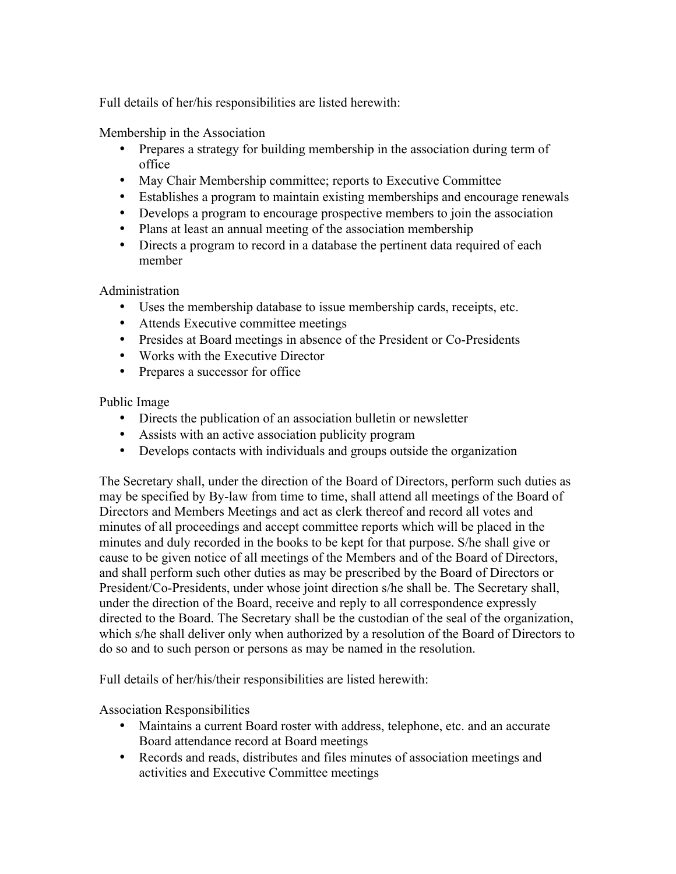Full details of her/his responsibilities are listed herewith:

Membership in the Association

- Prepares a strategy for building membership in the association during term of office
- May Chair Membership committee; reports to Executive Committee
- Establishes a program to maintain existing memberships and encourage renewals
- Develops a program to encourage prospective members to join the association
- Plans at least an annual meeting of the association membership
- Directs a program to record in a database the pertinent data required of each member

Administration

- Uses the membership database to issue membership cards, receipts, etc.
- Attends Executive committee meetings
- Presides at Board meetings in absence of the President or Co-Presidents
- Works with the Executive Director
- Prepares a successor for office

Public Image

- Directs the publication of an association bulletin or newsletter
- Assists with an active association publicity program
- Develops contacts with individuals and groups outside the organization

The Secretary shall, under the direction of the Board of Directors, perform such duties as may be specified by By-law from time to time, shall attend all meetings of the Board of Directors and Members Meetings and act as clerk thereof and record all votes and minutes of all proceedings and accept committee reports which will be placed in the minutes and duly recorded in the books to be kept for that purpose. S/he shall give or cause to be given notice of all meetings of the Members and of the Board of Directors, and shall perform such other duties as may be prescribed by the Board of Directors or President/Co-Presidents, under whose joint direction s/he shall be. The Secretary shall, under the direction of the Board, receive and reply to all correspondence expressly directed to the Board. The Secretary shall be the custodian of the seal of the organization, which s/he shall deliver only when authorized by a resolution of the Board of Directors to do so and to such person or persons as may be named in the resolution.

Full details of her/his/their responsibilities are listed herewith:

Association Responsibilities

- Maintains a current Board roster with address, telephone, etc. and an accurate Board attendance record at Board meetings
- Records and reads, distributes and files minutes of association meetings and activities and Executive Committee meetings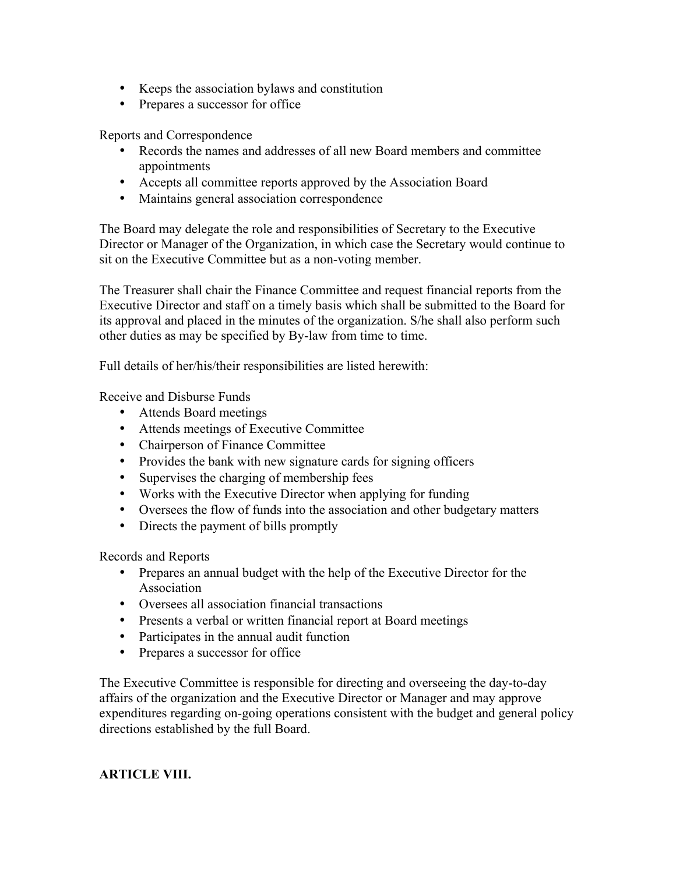- Keeps the association bylaws and constitution
- Prepares a successor for office

Reports and Correspondence

- Records the names and addresses of all new Board members and committee appointments
- Accepts all committee reports approved by the Association Board
- Maintains general association correspondence

The Board may delegate the role and responsibilities of Secretary to the Executive Director or Manager of the Organization, in which case the Secretary would continue to sit on the Executive Committee but as a non-voting member.

The Treasurer shall chair the Finance Committee and request financial reports from the Executive Director and staff on a timely basis which shall be submitted to the Board for its approval and placed in the minutes of the organization. S/he shall also perform such other duties as may be specified by By-law from time to time.

Full details of her/his/their responsibilities are listed herewith:

Receive and Disburse Funds

- Attends Board meetings
- Attends meetings of Executive Committee
- Chairperson of Finance Committee
- Provides the bank with new signature cards for signing officers
- Supervises the charging of membership fees
- Works with the Executive Director when applying for funding
- Oversees the flow of funds into the association and other budgetary matters
- Directs the payment of bills promptly

Records and Reports

- Prepares an annual budget with the help of the Executive Director for the Association
- Oversees all association financial transactions
- Presents a verbal or written financial report at Board meetings
- Participates in the annual audit function
- Prepares a successor for office

The Executive Committee is responsible for directing and overseeing the day-to-day affairs of the organization and the Executive Director or Manager and may approve expenditures regarding on-going operations consistent with the budget and general policy directions established by the full Board.

## **ARTICLE VIII.**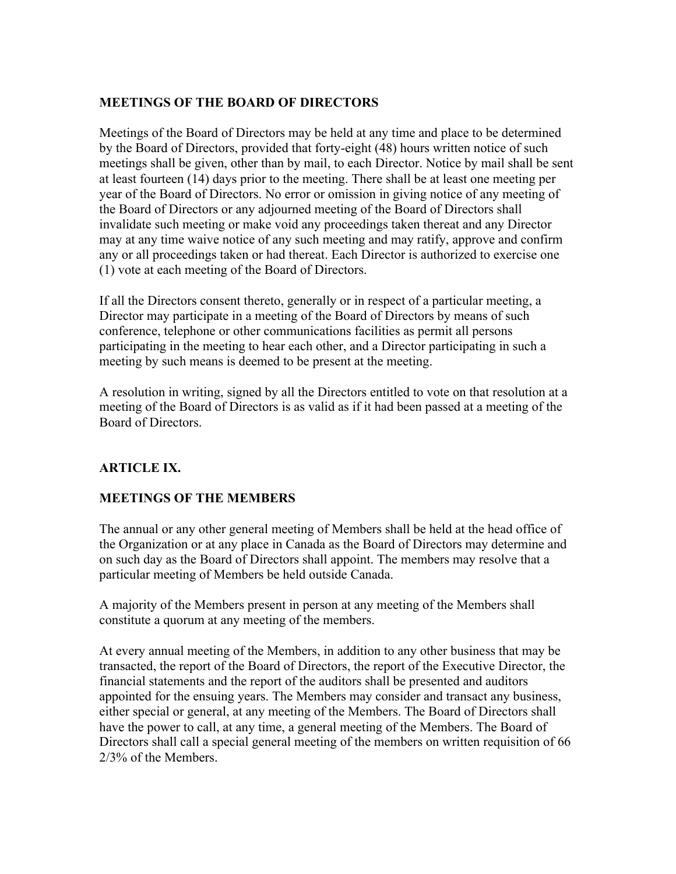# **MEETINGS OF THE BOARD OF DIRECTORS**

Meetings of the Board of Directors may be held at any time and place to be determined by the Board of Directors, provided that forty-eight (48) hours written notice of such meetings shall be given, other than by mail, to each Director. Notice by mail shall be sent at least fourteen (14) days prior to the meeting. There shall be at least one meeting per year of the Board of Directors. No error or omission in giving notice of any meeting of the Board of Directors or any adjourned meeting of the Board of Directors shall invalidate such meeting or make void any proceedings taken thereat and any Director may at any time waive notice of any such meeting and may ratify, approve and confirm any or all proceedings taken or had thereat. Each Director is authorized to exercise one (1) vote at each meeting of the Board of Directors.

If all the Directors consent thereto, generally or in respect of a particular meeting, a Director may participate in a meeting of the Board of Directors by means of such conference, telephone or other communications facilities as permit all persons participating in the meeting to hear each other, and a Director participating in such a meeting by such means is deemed to be present at the meeting.

A resolution in writing, signed by all the Directors entitled to vote on that resolution at a meeting of the Board of Directors is as valid as if it had been passed at a meeting of the Board of Directors.

# **ARTICLE IX.**

## **MEETINGS OF THE MEMBERS**

The annual or any other general meeting of Members shall be held at the head office of the Organization or at any place in Canada as the Board of Directors may determine and on such day as the Board of Directors shall appoint. The members may resolve that a particular meeting of Members be held outside Canada.

A majority of the Members present in person at any meeting of the Members shall constitute a quorum at any meeting of the members.

At every annual meeting of the Members, in addition to any other business that may be transacted, the report of the Board of Directors, the report of the Executive Director, the financial statements and the report of the auditors shall be presented and auditors appointed for the ensuing years. The Members may consider and transact any business, either special or general, at any meeting of the Members. The Board of Directors shall have the power to call, at any time, a general meeting of the Members. The Board of Directors shall call a special general meeting of the members on written requisition of 66 2/3% of the Members.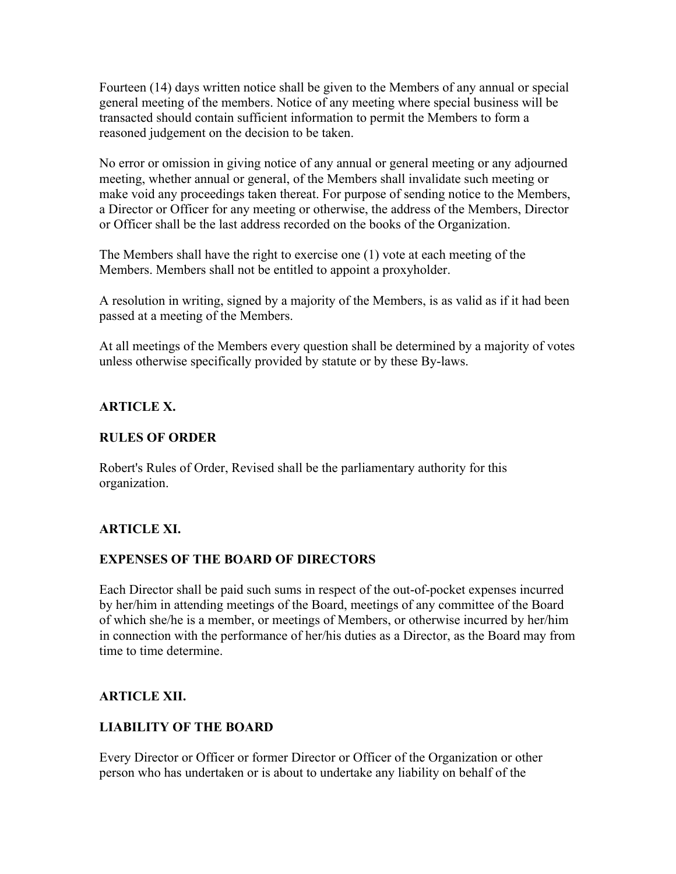Fourteen (14) days written notice shall be given to the Members of any annual or special general meeting of the members. Notice of any meeting where special business will be transacted should contain sufficient information to permit the Members to form a reasoned judgement on the decision to be taken.

No error or omission in giving notice of any annual or general meeting or any adjourned meeting, whether annual or general, of the Members shall invalidate such meeting or make void any proceedings taken thereat. For purpose of sending notice to the Members, a Director or Officer for any meeting or otherwise, the address of the Members, Director or Officer shall be the last address recorded on the books of the Organization.

The Members shall have the right to exercise one (1) vote at each meeting of the Members. Members shall not be entitled to appoint a proxyholder.

A resolution in writing, signed by a majority of the Members, is as valid as if it had been passed at a meeting of the Members.

At all meetings of the Members every question shall be determined by a majority of votes unless otherwise specifically provided by statute or by these By-laws.

# **ARTICLE X.**

# **RULES OF ORDER**

Robert's Rules of Order, Revised shall be the parliamentary authority for this organization.

# **ARTICLE XI.**

## **EXPENSES OF THE BOARD OF DIRECTORS**

Each Director shall be paid such sums in respect of the out-of-pocket expenses incurred by her/him in attending meetings of the Board, meetings of any committee of the Board of which she/he is a member, or meetings of Members, or otherwise incurred by her/him in connection with the performance of her/his duties as a Director, as the Board may from time to time determine.

## **ARTICLE XII.**

## **LIABILITY OF THE BOARD**

Every Director or Officer or former Director or Officer of the Organization or other person who has undertaken or is about to undertake any liability on behalf of the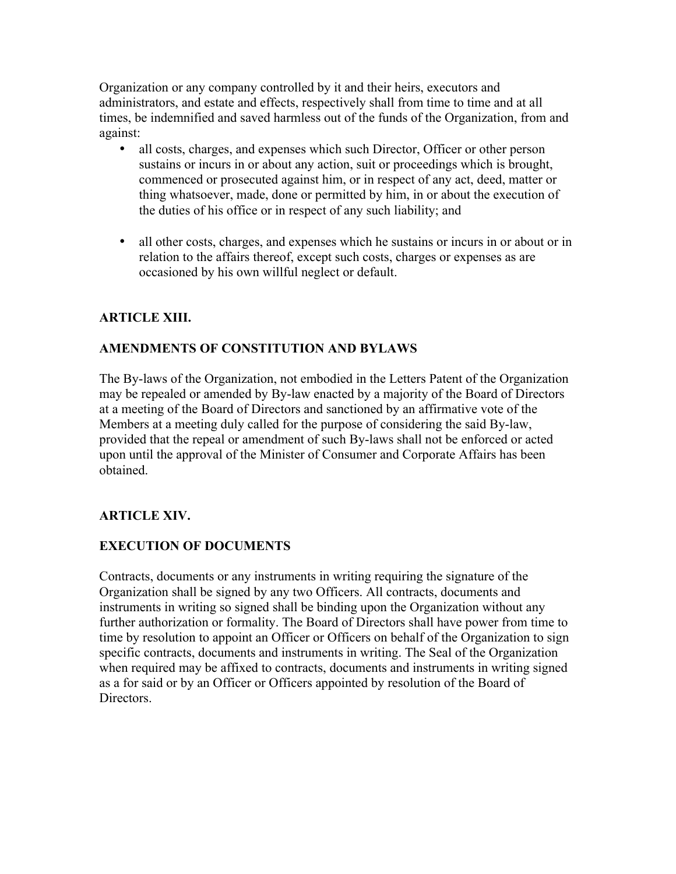Organization or any company controlled by it and their heirs, executors and administrators, and estate and effects, respectively shall from time to time and at all times, be indemnified and saved harmless out of the funds of the Organization, from and against:

- all costs, charges, and expenses which such Director, Officer or other person sustains or incurs in or about any action, suit or proceedings which is brought, commenced or prosecuted against him, or in respect of any act, deed, matter or thing whatsoever, made, done or permitted by him, in or about the execution of the duties of his office or in respect of any such liability; and
- all other costs, charges, and expenses which he sustains or incurs in or about or in relation to the affairs thereof, except such costs, charges or expenses as are occasioned by his own willful neglect or default.

# **ARTICLE XIII.**

# **AMENDMENTS OF CONSTITUTION AND BYLAWS**

The By-laws of the Organization, not embodied in the Letters Patent of the Organization may be repealed or amended by By-law enacted by a majority of the Board of Directors at a meeting of the Board of Directors and sanctioned by an affirmative vote of the Members at a meeting duly called for the purpose of considering the said By-law, provided that the repeal or amendment of such By-laws shall not be enforced or acted upon until the approval of the Minister of Consumer and Corporate Affairs has been obtained.

# **ARTICLE XIV.**

## **EXECUTION OF DOCUMENTS**

Contracts, documents or any instruments in writing requiring the signature of the Organization shall be signed by any two Officers. All contracts, documents and instruments in writing so signed shall be binding upon the Organization without any further authorization or formality. The Board of Directors shall have power from time to time by resolution to appoint an Officer or Officers on behalf of the Organization to sign specific contracts, documents and instruments in writing. The Seal of the Organization when required may be affixed to contracts, documents and instruments in writing signed as a for said or by an Officer or Officers appointed by resolution of the Board of Directors.